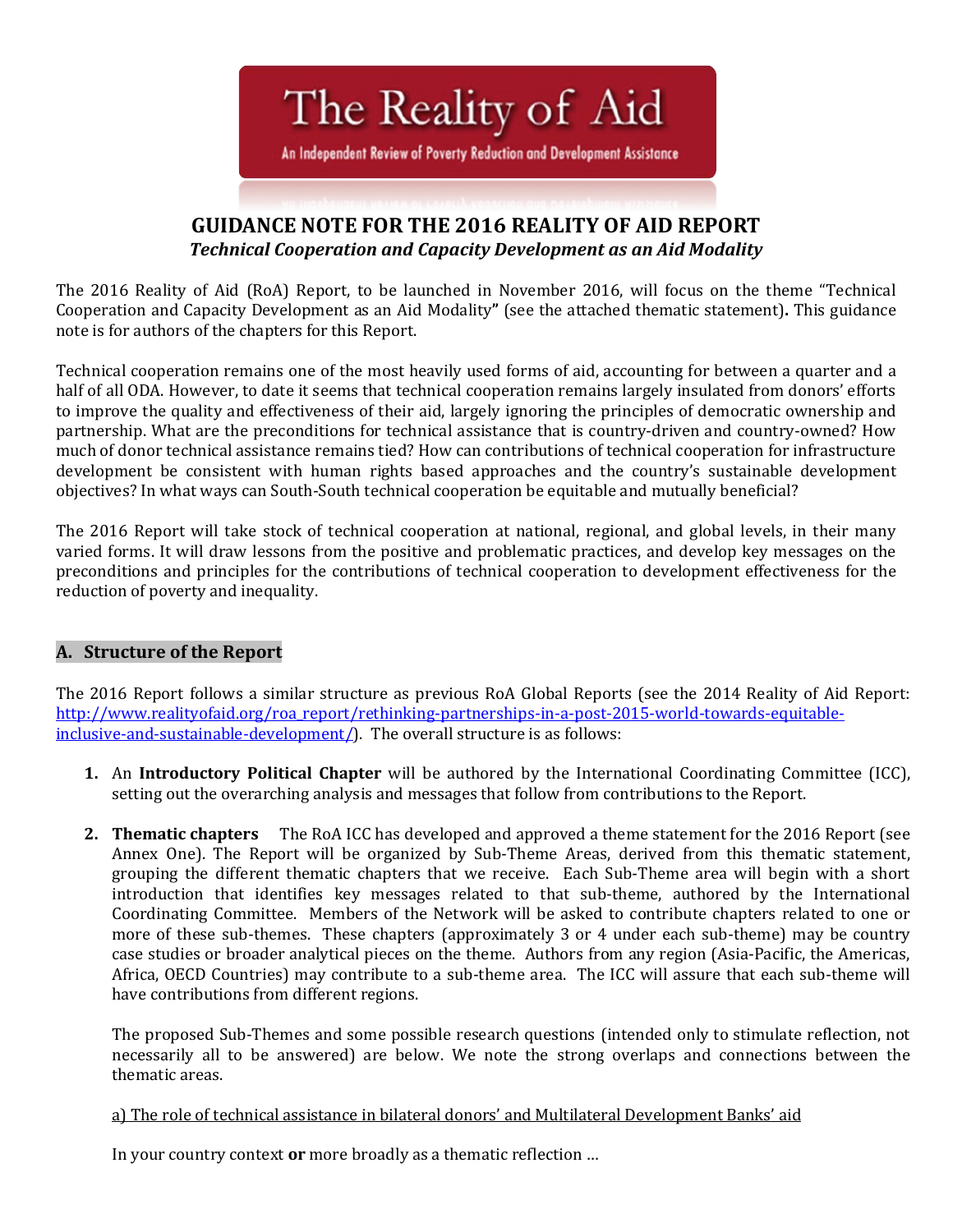The Reality of Aid

An Independent Review of Poverty Reduction and Development Assistance

# **GUIDANCE NOTE FOR THE 2016 REALITY OF AID REPORT** *Technical Cooperation and Capacity Development as an Aid Modality*

The 2016 Reality of Aid (RoA) Report, to be launched in November 2016, will focus on the theme "Technical Cooperation and Capacity Development as an Aid Modality**"** (see the attached thematic statement)**.** This guidance note is for authors of the chapters for this Report.

Technical cooperation remains one of the most heavily used forms of aid, accounting for between a quarter and a half of all ODA. However, to date it seems that technical cooperation remains largely insulated from donors' efforts to improve the quality and effectiveness of their aid, largely ignoring the principles of democratic ownership and partnership. What are the preconditions for technical assistance that is country-driven and country-owned? How much of donor technical assistance remains tied? How can contributions of technical cooperation for infrastructure development be consistent with human rights based approaches and the country's sustainable development objectives? In what ways can South-South technical cooperation be equitable and mutually beneficial?

The 2016 Report will take stock of technical cooperation at national, regional, and global levels, in their many varied forms. It will draw lessons from the positive and problematic practices, and develop key messages on the preconditions and principles for the contributions of technical cooperation to development effectiveness for the reduction of poverty and inequality.

# **A. Structure of the Report**

The 2016 Report follows a similar structure as previous RoA Global Reports (see the 2014 Reality of Aid Report: [http://www.realityofaid.org/roa\\_report/rethinking-partnerships-in-a-post-2015-world-towards-equitable](http://www.realityofaid.org/roa_report/rethinking-partnerships-in-a-post-2015-world-towards-equitable-inclusive-and-sustainable-development/)[inclusive-and-sustainable-development/\)](http://www.realityofaid.org/roa_report/rethinking-partnerships-in-a-post-2015-world-towards-equitable-inclusive-and-sustainable-development/). The overall structure is as follows:

- **1.** An **Introductory Political Chapter** will be authored by the International Coordinating Committee (ICC), setting out the overarching analysis and messages that follow from contributions to the Report.
- **2. Thematic chapters** The RoA ICC has developed and approved a theme statement for the 2016 Report (see Annex One). The Report will be organized by Sub-Theme Areas, derived from this thematic statement, grouping the different thematic chapters that we receive. Each Sub-Theme area will begin with a short introduction that identifies key messages related to that sub-theme, authored by the International Coordinating Committee. Members of the Network will be asked to contribute chapters related to one or more of these sub-themes. These chapters (approximately 3 or 4 under each sub-theme) may be country case studies or broader analytical pieces on the theme. Authors from any region (Asia-Pacific, the Americas, Africa, OECD Countries) may contribute to a sub-theme area. The ICC will assure that each sub-theme will have contributions from different regions.

The proposed Sub-Themes and some possible research questions (intended only to stimulate reflection, not necessarily all to be answered) are below. We note the strong overlaps and connections between the thematic areas.

a) The role of technical assistance in bilateral donors' and Multilateral Development Banks' aid

In your country context **or** more broadly as a thematic reflection …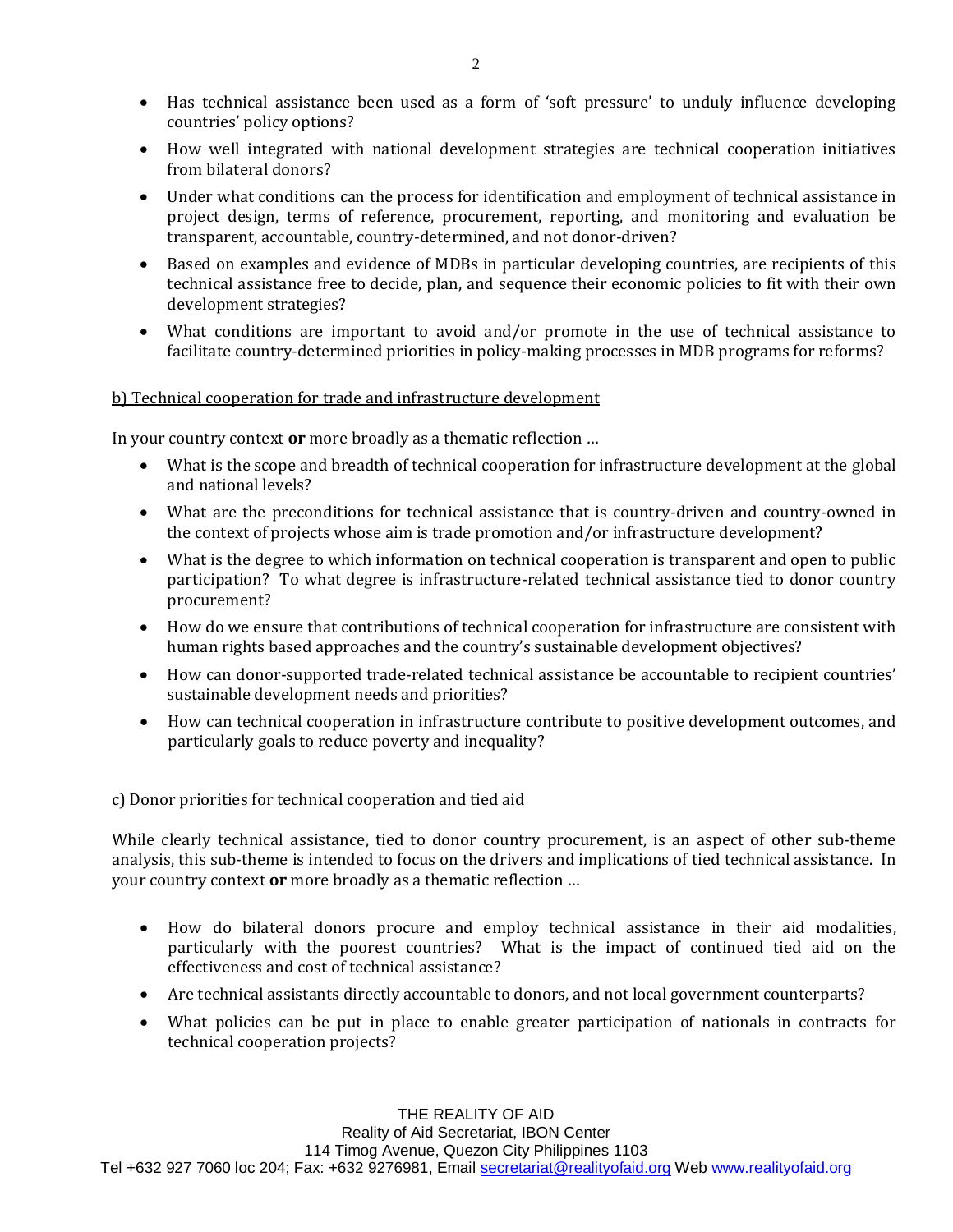- Has technical assistance been used as a form of 'soft pressure' to unduly influence developing countries' policy options?
- How well integrated with national development strategies are technical cooperation initiatives from bilateral donors?
- Under what conditions can the process for identification and employment of technical assistance in project design, terms of reference, procurement, reporting, and monitoring and evaluation be transparent, accountable, country-determined, and not donor-driven?
- Based on examples and evidence of MDBs in particular developing countries, are recipients of this technical assistance free to decide, plan, and sequence their economic policies to fit with their own development strategies?
- What conditions are important to avoid and/or promote in the use of technical assistance to facilitate country-determined priorities in policy-making processes in MDB programs for reforms?

#### b) Technical cooperation for trade and infrastructure development

In your country context **or** more broadly as a thematic reflection …

- What is the scope and breadth of technical cooperation for infrastructure development at the global and national levels?
- What are the preconditions for technical assistance that is country-driven and country-owned in the context of projects whose aim is trade promotion and/or infrastructure development?
- What is the degree to which information on technical cooperation is transparent and open to public participation? To what degree is infrastructure-related technical assistance tied to donor country procurement?
- How do we ensure that contributions of technical cooperation for infrastructure are consistent with human rights based approaches and the country's sustainable development objectives?
- How can donor-supported trade-related technical assistance be accountable to recipient countries' sustainable development needs and priorities?
- How can technical cooperation in infrastructure contribute to positive development outcomes, and particularly goals to reduce poverty and inequality?

## c) Donor priorities for technical cooperation and tied aid

While clearly technical assistance, tied to donor country procurement, is an aspect of other sub-theme analysis, this sub-theme is intended to focus on the drivers and implications of tied technical assistance. In your country context **or** more broadly as a thematic reflection …

- How do bilateral donors procure and employ technical assistance in their aid modalities, particularly with the poorest countries? What is the impact of continued tied aid on the effectiveness and cost of technical assistance?
- Are technical assistants directly accountable to donors, and not local government counterparts?
- What policies can be put in place to enable greater participation of nationals in contracts for technical cooperation projects?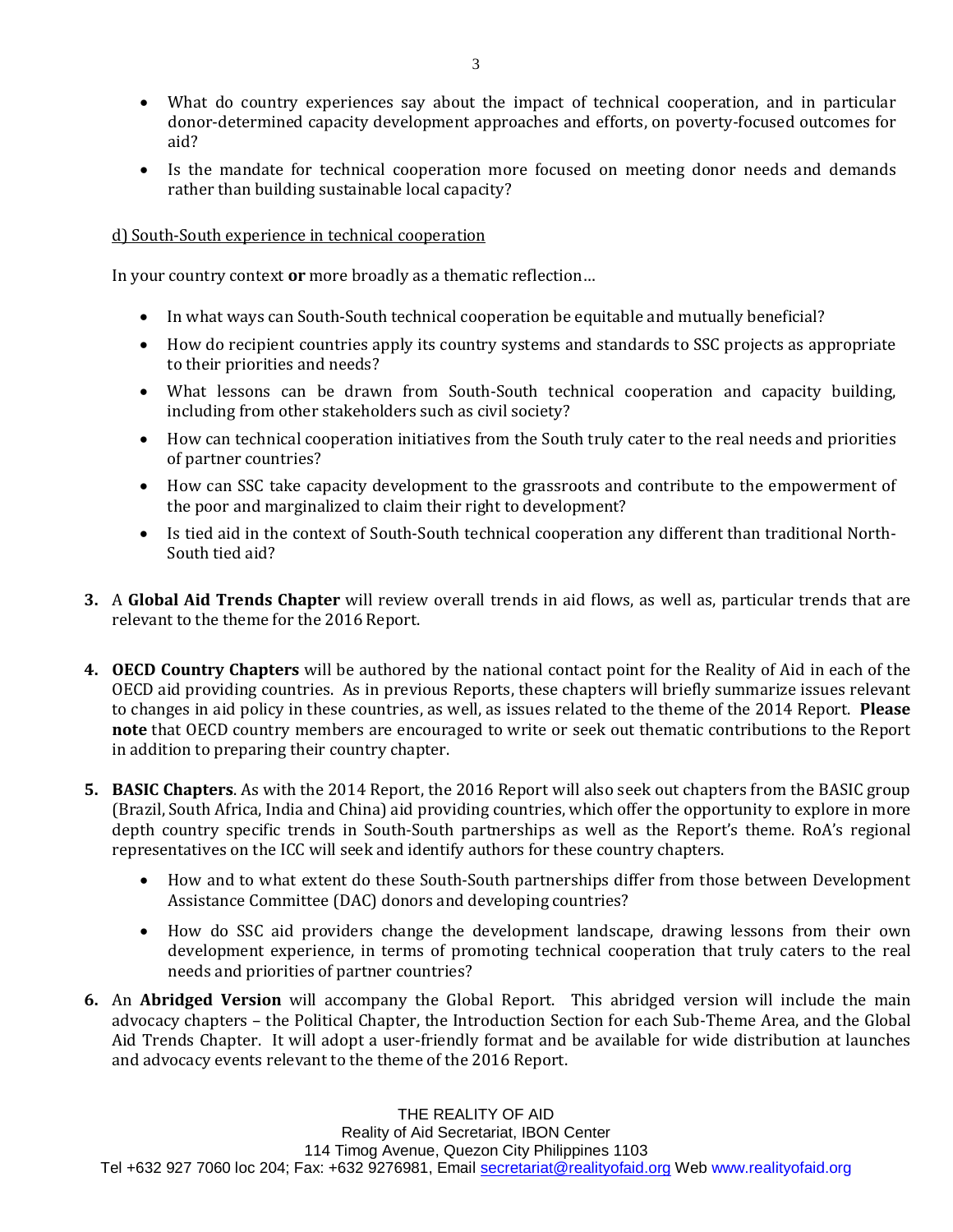- What do country experiences say about the impact of technical cooperation, and in particular donor-determined capacity development approaches and efforts, on poverty-focused outcomes for aid?
- Is the mandate for technical cooperation more focused on meeting donor needs and demands rather than building sustainable local capacity?

#### d) South-South experience in technical cooperation

In your country context **or** more broadly as a thematic reflection…

- In what ways can South-South technical cooperation be equitable and mutually beneficial?
- How do recipient countries apply its country systems and standards to SSC projects as appropriate to their priorities and needs?
- What lessons can be drawn from South-South technical cooperation and capacity building, including from other stakeholders such as civil society?
- How can technical cooperation initiatives from the South truly cater to the real needs and priorities of partner countries?
- How can SSC take capacity development to the grassroots and contribute to the empowerment of the poor and marginalized to claim their right to development?
- Is tied aid in the context of South-South technical cooperation any different than traditional North-South tied aid?
- **3.** A **Global Aid Trends Chapter** will review overall trends in aid flows, as well as, particular trends that are relevant to the theme for the 2016 Report.
- **4. OECD Country Chapters** will be authored by the national contact point for the Reality of Aid in each of the OECD aid providing countries. As in previous Reports, these chapters will briefly summarize issues relevant to changes in aid policy in these countries, as well, as issues related to the theme of the 2014 Report. **Please note** that OECD country members are encouraged to write or seek out thematic contributions to the Report in addition to preparing their country chapter.
- **5. BASIC Chapters**. As with the 2014 Report, the 2016 Report will also seek out chapters from the BASIC group (Brazil, South Africa, India and China) aid providing countries, which offer the opportunity to explore in more depth country specific trends in South-South partnerships as well as the Report's theme. RoA's regional representatives on the ICC will seek and identify authors for these country chapters.
	- How and to what extent do these South-South partnerships differ from those between Development Assistance Committee (DAC) donors and developing countries?
	- How do SSC aid providers change the development landscape, drawing lessons from their own development experience, in terms of promoting technical cooperation that truly caters to the real needs and priorities of partner countries?
- **6.** An **Abridged Version** will accompany the Global Report. This abridged version will include the main advocacy chapters – the Political Chapter, the Introduction Section for each Sub-Theme Area, and the Global Aid Trends Chapter. It will adopt a user-friendly format and be available for wide distribution at launches and advocacy events relevant to the theme of the 2016 Report.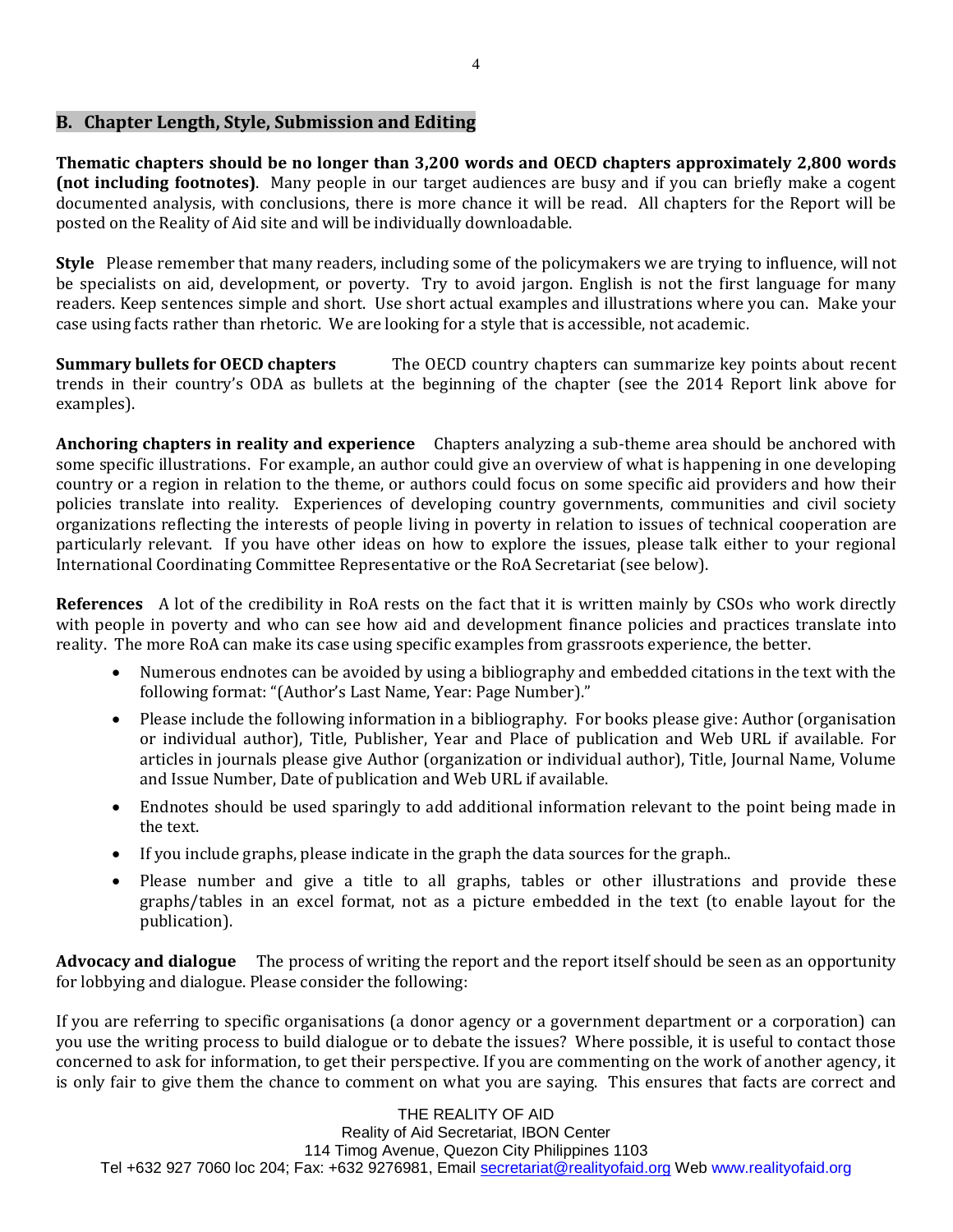## **B. Chapter Length, Style, Submission and Editing**

**Thematic chapters should be no longer than 3,200 words and OECD chapters approximately 2,800 words (not including footnotes)**. Many people in our target audiences are busy and if you can briefly make a cogent documented analysis, with conclusions, there is more chance it will be read. All chapters for the Report will be posted on the Reality of Aid site and will be individually downloadable.

**Style** Please remember that many readers, including some of the policymakers we are trying to influence, will not be specialists on aid, development, or poverty. Try to avoid jargon. English is not the first language for many readers. Keep sentences simple and short. Use short actual examples and illustrations where you can. Make your case using facts rather than rhetoric. We are looking for a style that is accessible, not academic.

**Summary bullets for OECD chapters** The OECD country chapters can summarize key points about recent trends in their country's ODA as bullets at the beginning of the chapter (see the 2014 Report link above for examples).

**Anchoring chapters in reality and experience** Chapters analyzing a sub-theme area should be anchored with some specific illustrations. For example, an author could give an overview of what is happening in one developing country or a region in relation to the theme, or authors could focus on some specific aid providers and how their policies translate into reality. Experiences of developing country governments, communities and civil society organizations reflecting the interests of people living in poverty in relation to issues of technical cooperation are particularly relevant. If you have other ideas on how to explore the issues, please talk either to your regional International Coordinating Committee Representative or the RoA Secretariat (see below).

**References** A lot of the credibility in RoA rests on the fact that it is written mainly by CSOs who work directly with people in poverty and who can see how aid and development finance policies and practices translate into reality. The more RoA can make its case using specific examples from grassroots experience, the better.

- Numerous endnotes can be avoided by using a bibliography and embedded citations in the text with the following format: "(Author's Last Name, Year: Page Number)."
- Please include the following information in a bibliography. For books please give: Author (organisation or individual author), Title, Publisher, Year and Place of publication and Web URL if available. For articles in journals please give Author (organization or individual author), Title, Journal Name, Volume and Issue Number, Date of publication and Web URL if available.
- Endnotes should be used sparingly to add additional information relevant to the point being made in the text.
- If you include graphs, please indicate in the graph the data sources for the graph..
- Please number and give a title to all graphs, tables or other illustrations and provide these graphs/tables in an excel format, not as a picture embedded in the text (to enable layout for the publication).

**Advocacy and dialogue** The process of writing the report and the report itself should be seen as an opportunity for lobbying and dialogue. Please consider the following:

If you are referring to specific organisations (a donor agency or a government department or a corporation) can you use the writing process to build dialogue or to debate the issues? Where possible, it is useful to contact those concerned to ask for information, to get their perspective. If you are commenting on the work of another agency, it is only fair to give them the chance to comment on what you are saying. This ensures that facts are correct and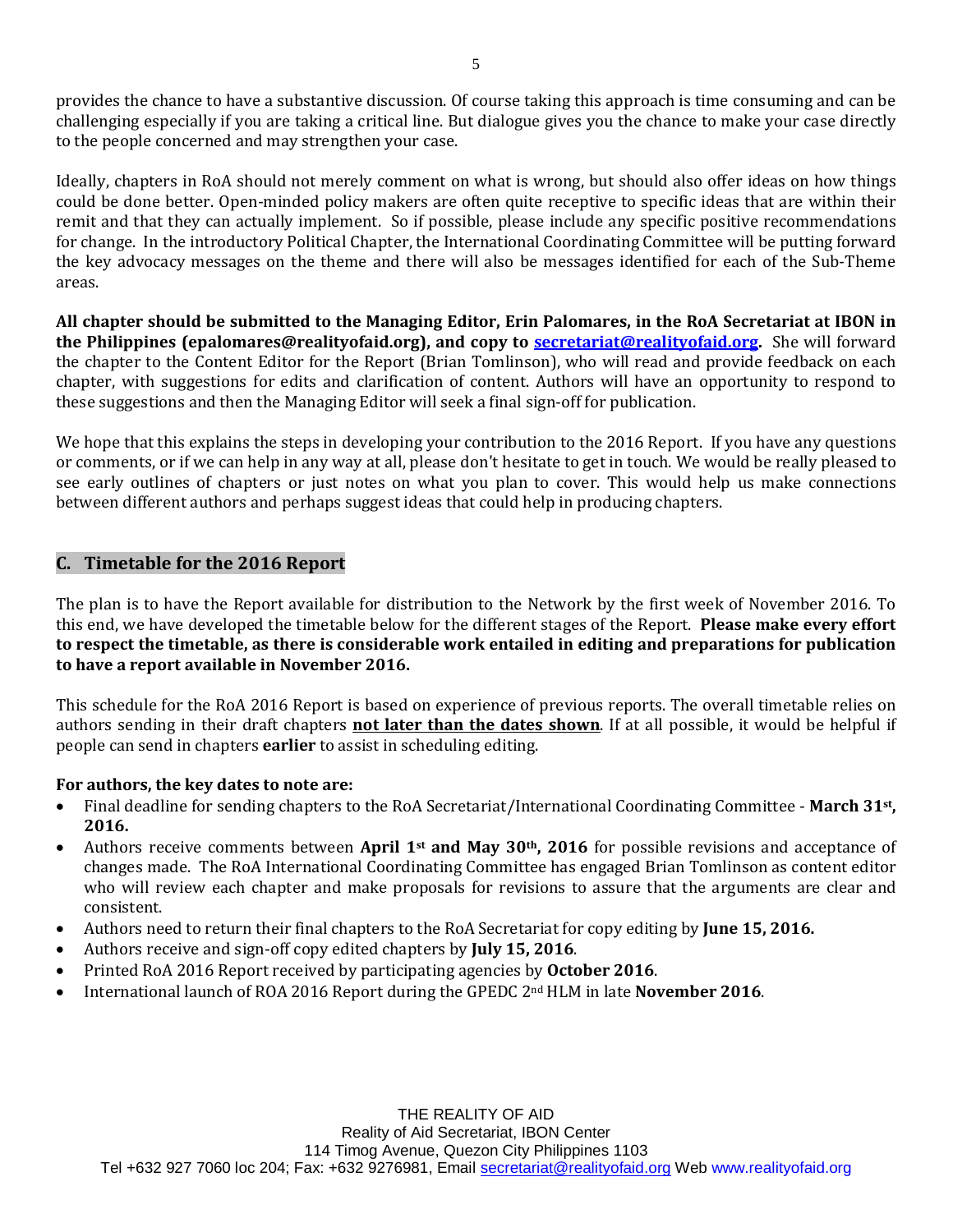provides the chance to have a substantive discussion. Of course taking this approach is time consuming and can be challenging especially if you are taking a critical line. But dialogue gives you the chance to make your case directly to the people concerned and may strengthen your case.

Ideally, chapters in RoA should not merely comment on what is wrong, but should also offer ideas on how things could be done better. Open-minded policy makers are often quite receptive to specific ideas that are within their remit and that they can actually implement. So if possible, please include any specific positive recommendations for change. In the introductory Political Chapter, the International Coordinating Committee will be putting forward the key advocacy messages on the theme and there will also be messages identified for each of the Sub-Theme areas.

**All chapter should be submitted to the Managing Editor, Erin Palomares, in the RoA Secretariat at IBON in the Philippines (epalomares@realityofaid.org), and copy to [secretariat@realityofaid.org.](mailto:secretariat@realityofaid.org)** She will forward the chapter to the Content Editor for the Report (Brian Tomlinson), who will read and provide feedback on each chapter, with suggestions for edits and clarification of content. Authors will have an opportunity to respond to these suggestions and then the Managing Editor will seek a final sign-off for publication.

We hope that this explains the steps in developing your contribution to the 2016 Report. If you have any questions or comments, or if we can help in any way at all, please don't hesitate to get in touch. We would be really pleased to see early outlines of chapters or just notes on what you plan to cover. This would help us make connections between different authors and perhaps suggest ideas that could help in producing chapters.

# **C. Timetable for the 2016 Report**

The plan is to have the Report available for distribution to the Network by the first week of November 2016. To this end, we have developed the timetable below for the different stages of the Report. **Please make every effort to respect the timetable, as there is considerable work entailed in editing and preparations for publication to have a report available in November 2016.**

This schedule for the RoA 2016 Report is based on experience of previous reports. The overall timetable relies on authors sending in their draft chapters **not later than the dates shown**. If at all possible, it would be helpful if people can send in chapters **earlier** to assist in scheduling editing.

## **For authors, the key dates to note are:**

- Final deadline for sending chapters to the RoA Secretariat/International Coordinating Committee **March 31st, 2016.**
- Authors receive comments between **April 1st and May 30th, 2016** for possible revisions and acceptance of changes made. The RoA International Coordinating Committee has engaged Brian Tomlinson as content editor who will review each chapter and make proposals for revisions to assure that the arguments are clear and consistent.
- Authors need to return their final chapters to the RoA Secretariat for copy editing by **June 15, 2016.**
- Authors receive and sign-off copy edited chapters by **July 15, 2016**.
- Printed RoA 2016 Report received by participating agencies by **October 2016**.
- International launch of ROA 2016 Report during the GPEDC 2nd HLM in late **November 2016**.